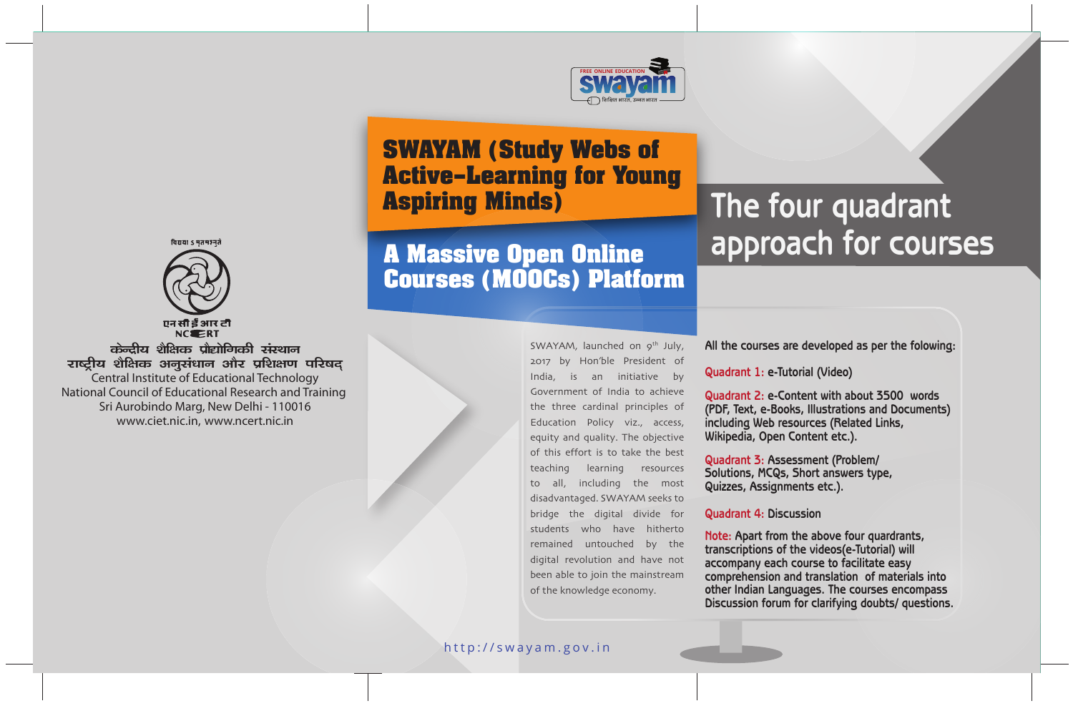

# **SWAYAM (Study Webs of Active–Learning for Young Aspiring Minds)**

# **A Massive Open Online Courses (MOOCs) Platform**

#### SWAYAM, launched on 9<sup>th</sup> July, 2017 by Hon'ble President of India, is an initiative by Government of India to achieve the three cardinal principles of Education Policy viz., access, equity and quality. The objective of this effort is to take the best teaching learning resources to all, including the most disadvantaged. SWAYAM seeks to bridge the digital divide for students who have hitherto remained untouched by the digital revolution and have not been able to join the mainstream of the knowledge economy.

# **The four quadrant approach for courses**



विद्यया ऽ मृतमञ्जूते

क्रेन्दीय शैक्षिक प्रौद्योगिकी संस्थान राष्ट्रीय शैक्षिक अनुसंधान और प्रशिक्षण परिषद Central Institute of Educational Technology National Council of Educational Research and Training Sri Aurobindo Marg, New Delhi - 110016 www.ciet.nic.in, www.ncert.nic.in

**All the courses are developed as per the folowing:**

**Quadrant 1: e-Tutorial (Video)**

**Quadrant 2: e-Content with about 3500 words (PDF, Text, e-Books, Illustrations and Documents) including Web resources (Related Links, Wikipedia, Open Content etc.).**

**Quadrant 3: Assessment (Problem/ Solutions, MCQs, Short answers type, Quizzes, Assignments etc.).**

#### **Quadrant 4: Discussion**

**Note: Apart from the above four quardrants, transcriptions of the videos(e-Tutorial) will accompany each course to facilitate easy comprehension and translation of materials into other Indian Languages. The courses encompass Discussion forum for clarifying doubts/ questions.**

#### http://swayam.gov.in